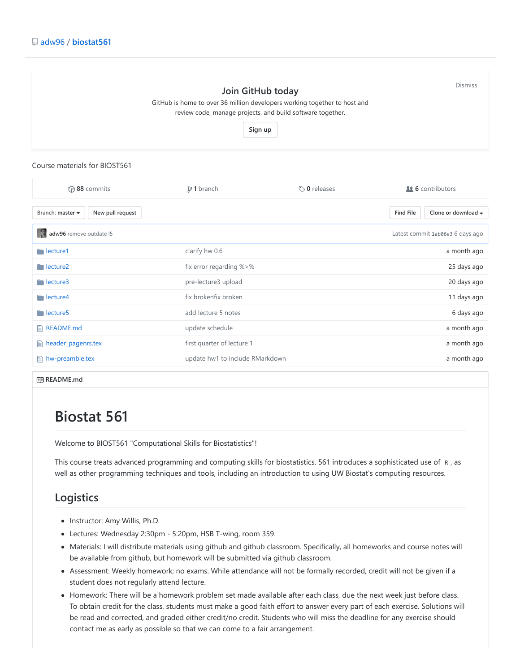

#### Course materials for BIOST561

| $\odot$ 88 commits                                       | $$21$ branch                    | $\Diamond$ 0 releases | <b>11 6</b> contributors                                   |
|----------------------------------------------------------|---------------------------------|-----------------------|------------------------------------------------------------|
| New pull request<br>Branch: master $\blacktriangleright$ |                                 |                       | <b>Find File</b><br>Clone or download $\blacktriangledown$ |
| adw96 remove outdate 15                                  |                                 |                       | Latest commit 1ab06e3 6 days ago                           |
| $\blacksquare$ lecture1                                  | clarify hw 0.6                  |                       | a month ago                                                |
| $\blacksquare$ lecture2                                  | fix error regarding %>%         |                       | 25 days ago                                                |
| $\blacksquare$ lecture3                                  | pre-lecture3 upload             |                       | 20 days ago                                                |
| $\blacksquare$ lecture4                                  | fix brokenfix broken            |                       | 11 days ago                                                |
| $\blacksquare$ lecture 5                                 | add lecture 5 notes             |                       | 6 days ago                                                 |
| $\Box$ README.md                                         | update schedule                 |                       | a month ago                                                |
| $\triangleq$ header_pagenrs.tex                          | first quarter of lecture 1      |                       | a month ago                                                |
| $\triangleq$ hw-preamble.tex                             | update hw1 to include RMarkdown |                       | a month ago                                                |

**README.md**

# **Biostat 561**

Welcome to BIOST561 "Computational Skills for Biostatistics"!

This course treats advanced programming and computing skills for biostatistics. 561 introduces a sophisticated use of R , as well as other programming techniques and tools, including an introduction to using UW Biostat's computing resources.

#### **Logistics**

- Instructor: Amy Willis, Ph.D.
- Lectures: Wednesday 2:30pm 5:20pm, HSB T-wing, room 359.
- Materials: I will distribute materials using github and github classroom. Specifically, all homeworks and course notes will be available from github, but homework will be submitted via github classroom.
- Assessment: Weekly homework; no exams. While attendance will not be formally recorded, credit will not be given if a student does not regularly attend lecture.
- Homework: There will be a homework problem set made available after each class, due the next week just before class. To obtain credit for the class, students must make a good faith effort to answer every part of each exercise. Solutions will be read and corrected, and graded either credit/no credit. Students who will miss the deadline for any exercise should contact me as early as possible so that we can come to a fair arrangement.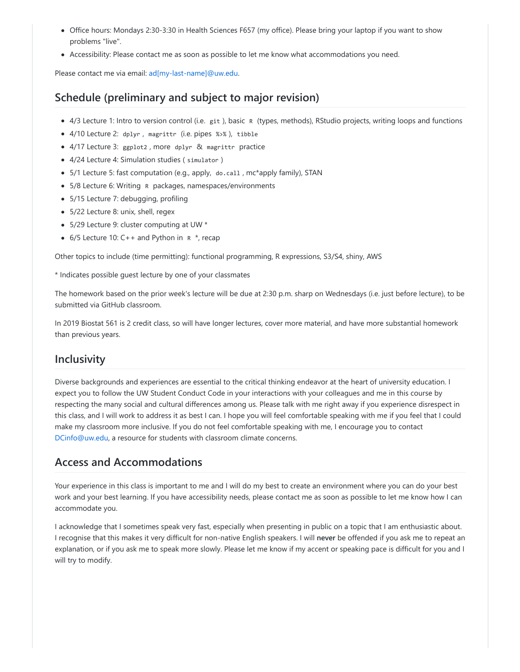- Office hours: Mondays 2:30-3:30 in Health Sciences F657 (my office). Please bring your laptop if you want to show problems "live".
- Accessibility: Please contact me as soon as possible to let me know what accommodations you need.

Please contact me via email: [ad\[my-last-name\]@uw.edu](https://github.com/adw96/biostat561/blob/master/ad%5Bmy-last-name%5D@uw.edu).

### **Schedule (preliminary and subject to major revision)**

- 4/3 Lecture 1: Intro to version control (i.e. git ), basic R (types, methods), RStudio projects, writing loops and functions
- 4/10 Lecture 2: dplyr , magrittr (i.e. pipes %>% ), tibble
- 4/17 Lecture 3: ggplot2 , more dplyr & magrittr practice
- 4/24 Lecture 4: Simulation studies ( simulator )
- 5/1 Lecture 5: fast computation (e.g., apply, do.call , mc\*apply family), STAN
- 5/8 Lecture 6: Writing R packages, namespaces/environments
- 5/15 Lecture 7: debugging, profiling
- 5/22 Lecture 8: unix, shell, regex
- 5/29 Lecture 9: cluster computing at UW \*
- $6/5$  Lecture 10: C++ and Python in  $R^*$ , recap

Other topics to include (time permitting): functional programming, R expressions, S3/S4, shiny, AWS

\* Indicates possible guest lecture by one of your classmates

The homework based on the prior week's lecture will be due at 2:30 p.m. sharp on Wednesdays (i.e. just before lecture), to be submitted via GitHub classroom.

In 2019 Biostat 561 is 2 credit class, so will have longer lectures, cover more material, and have more substantial homework than previous years.

#### **Inclusivity**

Diverse backgrounds and experiences are essential to the critical thinking endeavor at the heart of university education. I expect you to follow the UW Student Conduct Code in your interactions with your colleagues and me in this course by respecting the many social and cultural differences among us. Please talk with me right away if you experience disrespect in this class, and I will work to address it as best I can. I hope you will feel comfortable speaking with me if you feel that I could make my classroom more inclusive. If you do not feel comfortable speaking with me, I encourage you to contact [DCinfo@uw.edu,](mailto:DCinfo@uw.edu) a resource for students with classroom climate concerns.

#### **Access and Accommodations**

Your experience in this class is important to me and I will do my best to create an environment where you can do your best work and your best learning. If you have accessibility needs, please contact me as soon as possible to let me know how I can accommodate you.

I acknowledge that I sometimes speak very fast, especially when presenting in public on a topic that I am enthusiastic about. I recognise that this makes it very difficult for non-native English speakers. I will **never** be offended if you ask me to repeat an explanation, or if you ask me to speak more slowly. Please let me know if my accent or speaking pace is difficult for you and I will try to modify.